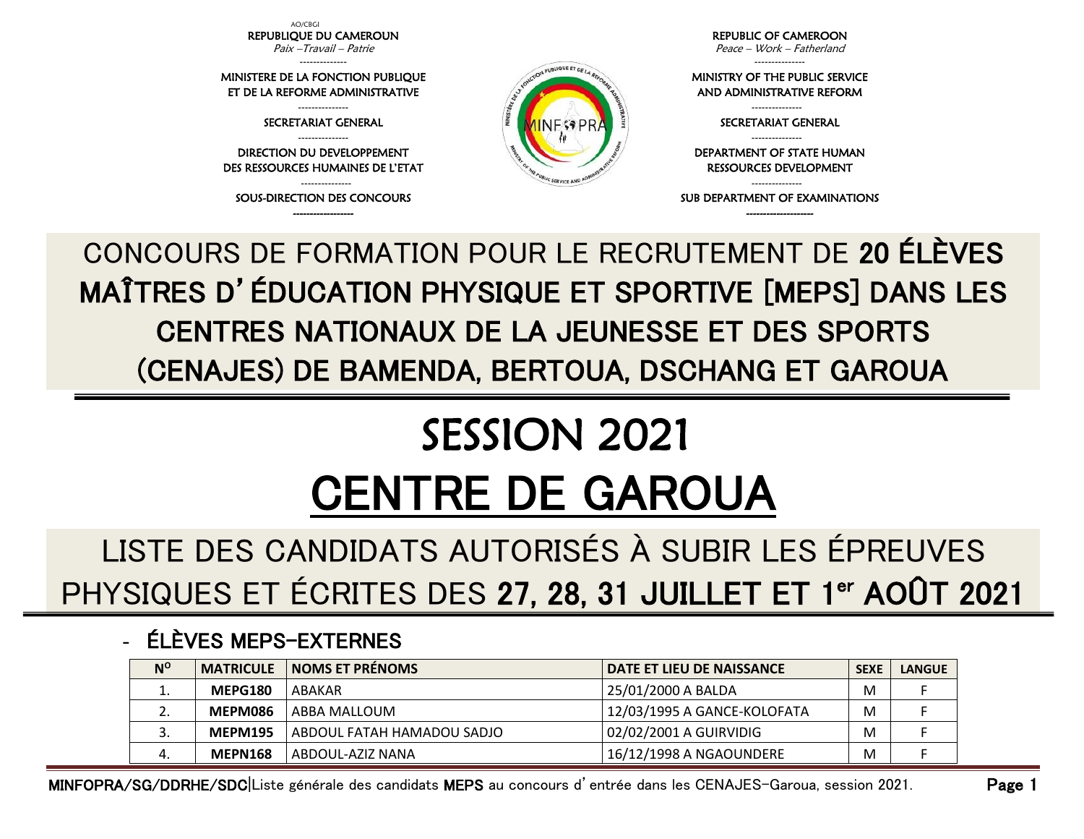AO/CBGI REPUBLIQUE DU CAMEROUN Paix –Travail – Patrie

-------------- MINISTERE DE LA FONCTION PUBLIQUE ET DE LA REFORME ADMINISTRATIVE

> --------------- SECRETARIAT GENERAL

--------------- DIRECTION DU DEVELOPPEMENT DES RESSOURCES HUMAINES DE L'ETAT

--------------- SOUS-DIRECTION DES CONCOURS ------------------



REPUBLIC OF CAMEROON

Peace – Work – Fatherland ---------------

MINISTRY OF THE PUBLIC SERVICE AND ADMINISTRATIVE REFORM

> --------------- SECRETARIAT GENERAL ---------------

DEPARTMENT OF STATE HUMAN RESSOURCES DEVELOPMENT

--------------- SUB DEPARTMENT OF EXAMINATIONS --------------------

CONCOURS DE FORMATION POUR LE RECRUTEMENT DE 20 ÉLÈVES MAÎTRES D'ÉDUCATION PHYSIQUE ET SPORTIVE [MEPS] DANS LES CENTRES NATIONAUX DE LA JEUNESSE ET DES SPORTS (CENAJES) DE BAMENDA, BERTOUA, DSCHANG ET GAROUA

## SESSION 2021 CENTRE DE GAROUA

LISTE DES CANDIDATS AUTORISÉS À SUBIR LES ÉPREUVES PHYSIQUES ET ÉCRITES DES 27, 28, 31 JUILLET ET 1<sup>er</sup> AOÛT 2021

## - ÉLÈVES MEPS-EXTERNES

| $N^{\rm o}$ | <b>MATRICULE</b> | <b>NOMS ET PRÉNOMS</b>     | <b>DATE ET LIEU DE NAISSANCE</b> | <b>SEXE</b> | <b>LANGUE</b> |
|-------------|------------------|----------------------------|----------------------------------|-------------|---------------|
| ∸.          | MEPG180          | ABAKAR                     | 25/01/2000 A BALDA               | M           |               |
| <u>.</u>    | MEPM086          | ABBA MALLOUM               | 12/03/1995 A GANCE-KOLOFATA      | M           |               |
| J.          | <b>MEPM195</b>   | ABDOUL FATAH HAMADOU SADJO | 02/02/2001 A GUIRVIDIG           | M           |               |
| 4.          | <b>MEPN168</b>   | ABDOUL-AZIZ NANA           | 16/12/1998 A NGAOUNDERE          | M           |               |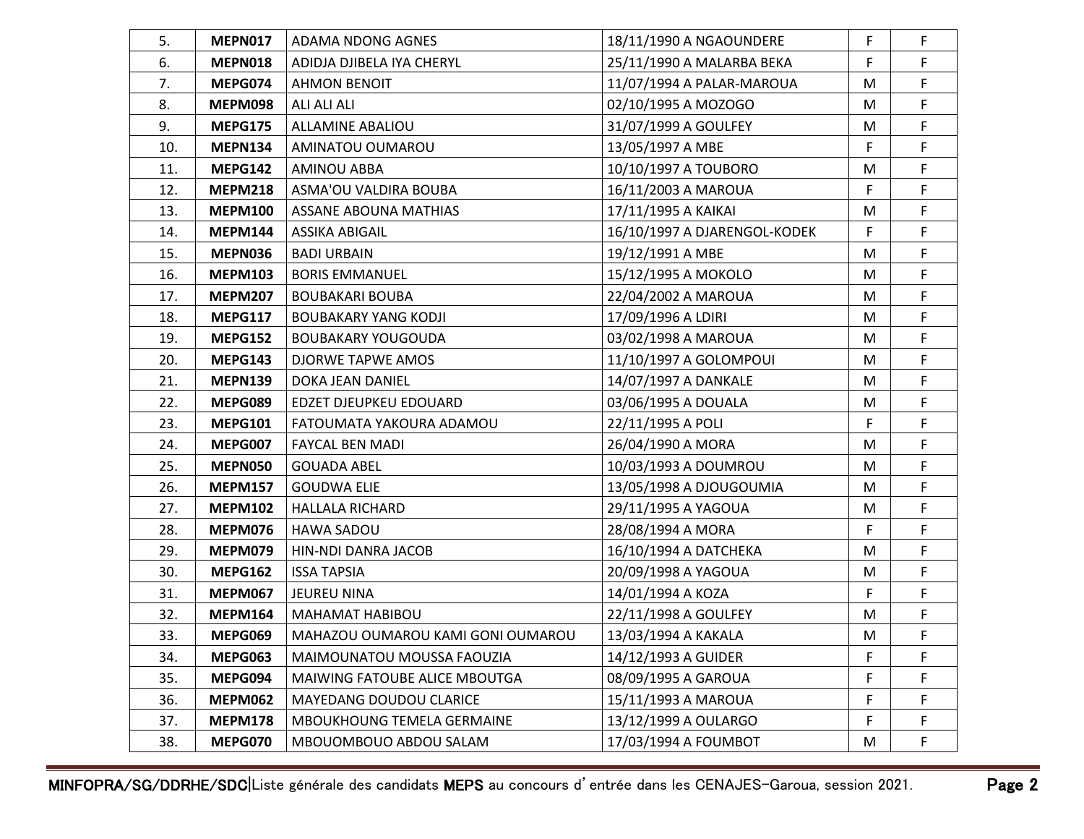| 5.  | <b>MEPN017</b> | ADAMA NDONG AGNES                 | 18/11/1990 A NGAOUNDERE      | F  | F            |
|-----|----------------|-----------------------------------|------------------------------|----|--------------|
| 6.  | <b>MEPN018</b> | ADIDJA DJIBELA IYA CHERYL         | 25/11/1990 A MALARBA BEKA    | F  | F            |
| 7.  | MEPG074        | <b>AHMON BENOIT</b>               | 11/07/1994 A PALAR-MAROUA    | M  | F            |
| 8.  | <b>MEPM098</b> | ALI ALI ALI                       | 02/10/1995 A MOZOGO          | M  | F            |
| 9.  | <b>MEPG175</b> | <b>ALLAMINE ABALIOU</b>           | 31/07/1999 A GOULFEY         | M  | F            |
| 10. | <b>MEPN134</b> | AMINATOU OUMAROU                  | 13/05/1997 A MBE             | F  | F            |
| 11. | <b>MEPG142</b> | <b>AMINOU ABBA</b>                | 10/10/1997 A TOUBORO         | M  | F            |
| 12. | <b>MEPM218</b> | ASMA'OU VALDIRA BOUBA             | 16/11/2003 A MAROUA          | F  | $\mathsf{F}$ |
| 13. | <b>MEPM100</b> | <b>ASSANE ABOUNA MATHIAS</b>      | 17/11/1995 A KAIKAI          | M  | F            |
| 14. | <b>MEPM144</b> | ASSIKA ABIGAIL                    | 16/10/1997 A DJARENGOL-KODEK | F  | F            |
| 15. | <b>MEPN036</b> | <b>BADI URBAIN</b>                | 19/12/1991 A MBE             | M  | F            |
| 16. | <b>MEPM103</b> | <b>BORIS EMMANUEL</b>             | 15/12/1995 A MOKOLO          | M  | F            |
| 17. | <b>MEPM207</b> | <b>BOUBAKARI BOUBA</b>            | 22/04/2002 A MAROUA          | M  | F            |
| 18. | <b>MEPG117</b> | <b>BOUBAKARY YANG KODJI</b>       | 17/09/1996 A LDIRI           | M  | F            |
| 19. | <b>MEPG152</b> | <b>BOUBAKARY YOUGOUDA</b>         | 03/02/1998 A MAROUA          | M  | F            |
| 20. | MEPG143        | DJORWE TAPWE AMOS                 | 11/10/1997 A GOLOMPOUI       | M  | F            |
| 21. | <b>MEPN139</b> | DOKA JEAN DANIEL                  | 14/07/1997 A DANKALE         | M  | F            |
| 22. | MEPG089        | EDZET DJEUPKEU EDOUARD            | 03/06/1995 A DOUALA          | M  | F            |
| 23. | <b>MEPG101</b> | FATOUMATA YAKOURA ADAMOU          | 22/11/1995 A POLI            | F  | F            |
| 24. | MEPG007        | <b>FAYCAL BEN MADI</b>            | 26/04/1990 A MORA            | M  | F            |
| 25. | <b>MEPN050</b> | <b>GOUADA ABEL</b>                | 10/03/1993 A DOUMROU         | M  | F            |
| 26. | <b>MEPM157</b> | <b>GOUDWA ELIE</b>                | 13/05/1998 A DJOUGOUMIA      | M  | F            |
| 27. | <b>MEPM102</b> | <b>HALLALA RICHARD</b>            | 29/11/1995 A YAGOUA          | M  | F            |
| 28. | MEPM076        | HAWA SADOU                        | 28/08/1994 A MORA            | F  | F            |
| 29. | MEPM079        | HIN-NDI DANRA JACOB               | 16/10/1994 A DATCHEKA        | M  | $\mathsf F$  |
| 30. | <b>MEPG162</b> | <b>ISSA TAPSIA</b>                | 20/09/1998 A YAGOUA          | M  | F            |
| 31. | <b>MEPM067</b> | <b>JEUREU NINA</b>                | 14/01/1994 A KOZA            | F  | $\mathsf F$  |
| 32. | <b>MEPM164</b> | MAHAMAT HABIBOU                   | 22/11/1998 A GOULFEY         | M  | F            |
| 33. | MEPG069        | MAHAZOU OUMAROU KAMI GONI OUMAROU | 13/03/1994 A KAKALA          | M  | F            |
| 34. | MEPG063        | MAIMOUNATOU MOUSSA FAOUZIA        | 14/12/1993 A GUIDER          | F  | F            |
| 35. | MEPG094        | MAIWING FATOUBE ALICE MBOUTGA     | 08/09/1995 A GAROUA          | F  | F            |
| 36. | <b>MEPM062</b> | MAYEDANG DOUDOU CLARICE           | 15/11/1993 A MAROUA          | F  | F            |
| 37. | <b>MEPM178</b> | MBOUKHOUNG TEMELA GERMAINE        | 13/12/1999 A OULARGO         | F. | F            |
| 38. | MEPG070        | MBOUOMBOUO ABDOU SALAM            | 17/03/1994 A FOUMBOT         | M  | F            |